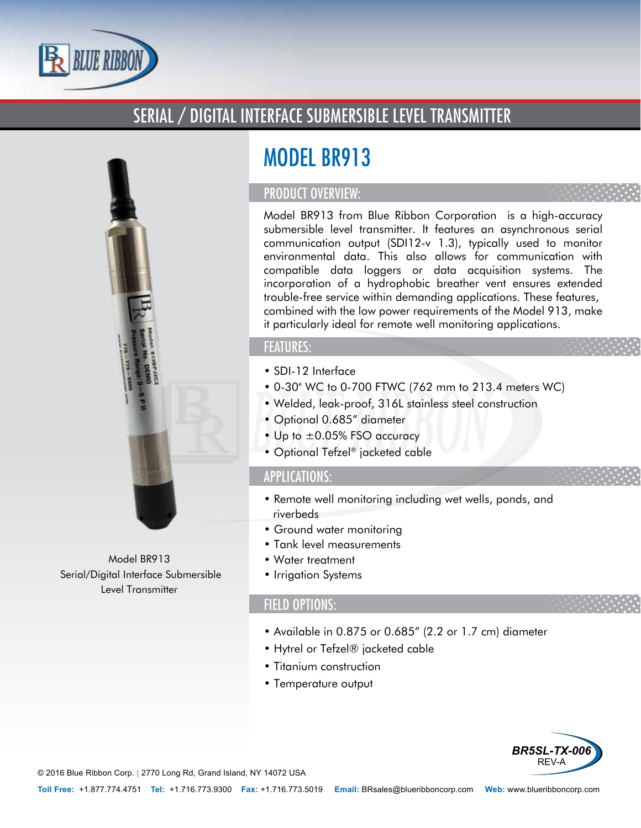

## SERIAL / DIGITAL INTERFACE SUBMERSIBLE LEVEL TRANSMITTER



Model BR913 Serial/Digital Interface Submersible Level Transmitter

# MODEL BR913

#### PRODUCT OVERVIEW:

Model BR913 from Blue Ribbon Corporation is a high-accuracy submersible level transmitter. It features an asynchronous serial communication output (SDI12-v 1.3), typically used to monitor environmental data. This also allows for communication with compatible data loggers or data acquisition systems. The incorporation of a hydrophobic breather vent ensures extended trouble-free service within demanding applications. These features, combined with the low power requirements of the Model 913, make it particularly ideal for remote well monitoring applications.

### FEATURES:

- SDI-12 Interface
- 0-30" WC to 0-700 FTWC (762 mm to 213.4 meters WC)
- Welded, leak-proof, 316L stainless steel construction
- Optional 0.685" diameter
- Up to  $\pm 0.05\%$  FSO accuracy
- Optional Tefzel® jacketed cable

#### APPLICATIONS:

- Remote well monitoring including wet wells, ponds, and riverbeds
- Ground water monitoring
- Tank level measurements
- Water treatment
- Irrigation Systems

#### FIELD OPTIONS:

- Available in 0.875 or 0.685" (2.2 or 1.7 cm) diameter
- Hytrel or Tefzel® jacketed cable
- Titanium construction
- Temperature output



© 2016 Blue Ribbon Corp. *|* 2770 Long Rd, Grand Island, NY 14072 USA